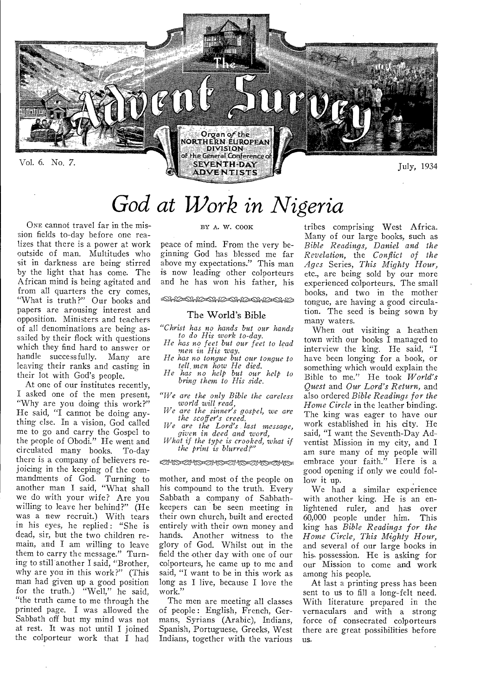

# *God at Work in Nigeria*

ONE cannot travel far in the mission fields to-day before one realizes that there is a power at work outside of man. Multitudes who sit in darkness are being stirred by the light that has come. The African mind is being agitated and from all quarters the cry comes, "What is truth?" Our books and papers are arousing interest and opposition. Ministers and teachers of all denominations are being assailed by their flock with questions which they find hard to answer or handle successfully. Many are leaving their ranks and casting in their lot with God's people.

At one of our institutes recently, I asked one of the men present, "Why are you doing this work?" He said, "I cannot be doing anything else. In a vision, God called me to go and carry the Gospel to the people of Obodi." He went and circulated many books. To-day there is a company of believers rejoicing in the keeping of the commandments of God. Turning to another man I said, "What shall we do with your wife? Are you willing to leave her behind?" (He was a new recruit.) With tears in his eyes, he replied: "She is dead, sir, but the two children remain, and I am willing to leave them to carry the message." Turning to still another I said, "Brother, why are you in this work?" (This man had given up a good position for the truth.) "Well," he said, "the truth came to me through the printed page. I was allowed the Sabbath off but my mind was not at rest. It was not until I joined the colporteur work that I had

### BY A. W. COOK

peace of mind. From the very beginning God has blessed me far above my expectations." This man is now leading other colporteurs and he has won his father, his

iscsrazsgsgegzusgAtowsgeseursuslari%)

### The World's Bible

*"Christ has no hands but our hands to do His work to-day.* 

*He has no feet but our feet to lead*  men *in His way.* 

*He has no tongue but our tongue to tell, men how He died.* 

*He has no help but our help to bring them to His side.* 

*"We are the only Bible the careless world will read,* 

*We are the sinner's gospel, we are the scoffer's creed. We are the Lord's last message,* 

*given in deed and* word,

*What if the type is crooked, what if the print is blurred?'"* 

CZYSSivEZP6SisaMAM.'nntatiTS)n2Vone

mother, and most of the people on his compound to the truth. Every Sabbath a company of Sabbathkeepers can be seen meeting in their own church, built and erected entirely with their own money and hands. Another witness to the glory of God. Whilst out in the field the other day with one of our colporteurs, he came up to me and said, "I want to be in this work as long as I live, because I love the work."

The men are meeting all classes of people : English, French, Germans, Syrians (Arabic), Indians, Spanish, Portuguese, Greeks, West Indians, together with the various tribes comprising West Africa. Many of our large books, such as *Bible Readings, Daniel and the Revelation,* the *Conflict of the Ages* Series, *This Mighty Hour,*  etc., are being sold by our more experienced colporteurs. The small books, and two in the mother tongue, are having a good circulation. The seed is being sown by many waters.

When out visiting a heathen town with our books I managed to interview the king. He said, "I have been longing for a book, or something which would explain the Bible to me." He took *World's Quest* and *Our Lord's Return,* and also ordered *Bible Readings for the Home Circle* in the leather binding. The king was eager to have our work established in his city. He said, "I want the Seventh-Day Adventist Mission in my city, and I am sure many of my people will embrace your faith." Here is a good opening if only we could follow it up.

We had a similar experience with another king. He is an enlightened ruler, and has over 60,000 people under him. This king has *Bible Readings for the Home Circle, This Mighty Hour,*  and several of our large books in his-possession. He is asking for our Mission to come and work among his people.

At last a printing press has been sent to us to fill a long-felt need. With literature prepared in the vernaculars and with a strong force of consecrated colporteurs there are great possibilities before 11<sub>S</sub>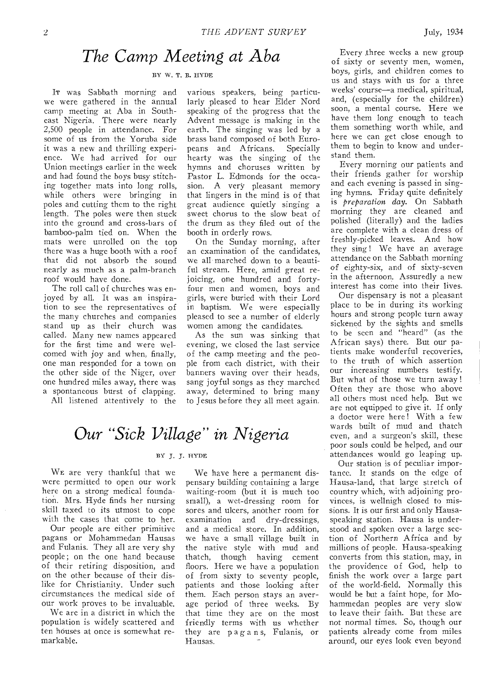### *The Camp Meeting at Aba*

### BY W. T. B. HYDE

IT was Sabbath morning and we were gathered in the annual camp meeting at Aba in Southeast Nigeria. There were nearly 2,500 people in attendance. For some of us from the Yoruba side it was a new and thrilling experience. We had arrived for our Union meetings earlier in the week and had found the boys busy stitching together mats into long rolls, while others were bringing in poles and cutting them to the right length. The poles were then stuck into the ground and cross-bars of bamboo-palm tied on. When the mats were unrolled on the top there was a huge booth with a roof that did not absorb the sound nearly as much as a palm-branch roof would have done.

The roll call of churches was enjoyed by all. It was an inspiration to see the representatives of the many churches and companies stand up as their church was called. Many new names appeared for the first time and were welcomed with joy and when, finally, one man responded for a town on the other side of the Niger, over one hundred miles away, there was a spontaneous burst of clapping.

All listened attentively to the

various speakers, being particularly pleased to hear Elder Nord speaking of the progress that the Advent message is making in the earth. The singing was led by a brass band composed of both Europeans and Africans. Specially hearty was the singing of the hymns and choruses written by Pastor L. Edmonds for the occasion. A very pleasant memory that lingers in the mind is of that great audience quietly singing a sweet chorus to the slow beat of the drum as they filed out of the booth in orderly rows.

On the Sunday morning, after an examination of the candidates, we all marched down to a beautiful stream. Here, amid great rejoicing, one hundred and fortyfour men and women, boys and girls, were buried with their Lord in baptism. We were especially pleased to see a number of elderly women among the candidates.

As the sun was sinking that evening, we closed the last service of the camp meeting and the people from each district, with their banners waving over their heads, sang joyful songs as they marched away, determined to bring many to Jesus before they all meet again.

## *Our "Sick Village" in Nigeria*

### BY J. J. HYDE

WE are very thankful that we were permitted to open our work here on a strong medical foundation. Mrs. Hyde finds her nursing skill taxed to its utmost to cope with the cases that come to her.

Our people are either primitive pagans or Mohammedan Hausas and Fulanis. They all are very shy people; on the one hand because of their retiring disposition, and on the other because of their dislike for Christianity. Under such circumstances the medical side of our work proves to be invaluable.

We are in a district in which the population is widely scattered and ten houses at once is somewhat remarkable.

We have here a permanent dispensary building containing a large waiting-room (but it is much too small), a wet-dressing room for sores and ulcers, another room for examination and dry-dressings, and a medical store. In addition, we have a small village built in the native style with mud and thatch, though having cement floors. Here we have a population of from sixty to seventy people, patients and those looking after them. Each person stays an average period of three weeks. By that time they are on the most friendly terms with us whether they are pagan s, Fulanis, or Hausas.

Every three weeks a new group of sixty or seventy men, women, boys, girls, and children comes to us and stays with us for a three weeks' course—a medical, spiritual, and, (especially for the children) soon, a mental course. Here we have them long enough to teach them something worth while, and here we can get close enough to them to begin to know and understand them.

Every morning our patients and their friends gather for worship and each evening is passed in singing hymns. Friday quite definitely is *preparation day.* On Sabbath morning they are cleaned and polished (literally) and the ladies are complete with a clean dress of freshly-picked leaves. And how they sing ! We have an average attendance on the Sabbath morning of eighty-six, and of sixty-seven in the afternoon. Assuredly a new interest has come into their lives.

Our dispensary is not a pleasant place to be in during its working hours and strong people turn away sickened by the sights and smells to be seen and "heard" (as the African says) there. But our patients make wonderful recoveries, to the truth of which assertion our increasing numbers testify. But what of those we turn away ! Often they are those who above all others most need help. But we are not equipped to give it. If only a doctor were here! With a few wards built of mud and thatch even, and a surgeon's skill, these poor souls could be helped, and our attendances would go leaping up.

Our station is of peculiar importance. It stands on the edge of Hausa-land, that large stretch of country which, with adjoining provinces, is wellnigh closed to missions. It is our first and only Hausaspeaking station. Hausa is understood and spoken over a large section of Northern Africa and by millions of people. Hausa-speaking converts from this station, may, in the providence of God, help to finish the work over a large part of the world-field. Normally this would be but a faint hope, for Mohammedan peoples are very slow to leave their faith. But these are not normal times. So, though our patients already come from miles around, our eyes look even beyond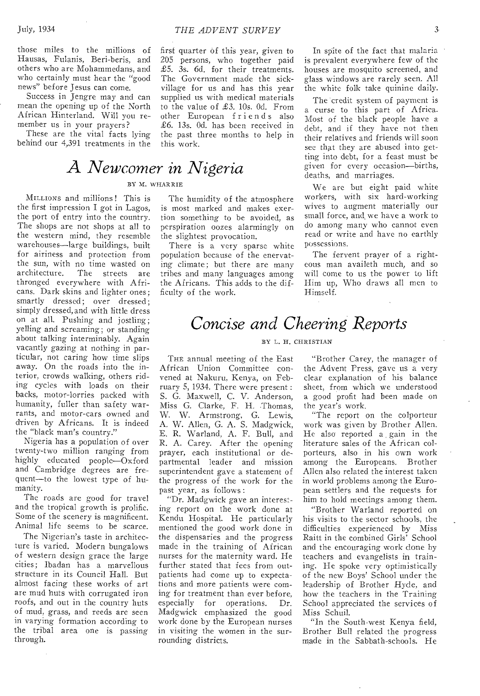those miles to the millions of Hausas, Fulanis, Beri-beris, and others who are Mohammedans, and who certainly must hear the "good news" before Jesus can come.

Success in Jengre may and can mean the opening up of the North African Hinterland. Will you remember us in your prayers?

These are the vital facts lying behind our 4,391 treatments in the

# *A Newcomer in Nigeria*

### BY M. WHAR R TE

MILLIONS and millions ! This is the first impression I got in Lagos, the port of entry into the country. The shops are not shops at all to the western mind, they resemble warehouses—large buildings, built for airiness and protection from the sun, with no time wasted on<br>architecture. The streets are The streets are thronged everywhere with Africans. Dark skins and lighter ones; smartly dressed; over dressed; simply dressed, and with little dress on at all. Pushing and jostling; yelling and screaming; or standing about talking interminably. Again vacantly gazing at nothing in particular, not caring how time slips away. On the roads into the interior, crowds walking, others riding cycles with loads on their backs, motor-lorries packed with humanity, fuller than safety warrants, and motor-cars owned and driven by Africans. It is indeed the "black man's country."

Nigeria has a population of over twenty-two million ranging from highly educated people—Oxford and Cambridge degrees are frequent—to the lowest type of humanity.

The roads are good for travel and the tropical growth is prolific. Some of the scenery is magnificent. Animal life seems to be scarce.

The Nigerian's taste in architecture is varied. Modern bungalows of western design grace the large cities; Ibadan has a marvellous structure in its Council Hall. But almost facing these works of art are mud huts with corrugated iron roofs, and out in the country huts of mud, grass, and reeds are seen in varying formation according to the tribal area one is passing through.

first quarter of this year, given to 205 persons, who together paid £5. 3s. 6d. for their treatments. The Government made the sickvillage for us and has this year supplied us with medical materials to the value of £3. 10s. Od. From other European friends also £6. 13s. Od. has been received in the past three months to help in this work.

The humidity of the atmosphere is most marked and makes exertion something to be avoided, as perspiration oozes alarmingly on the slightest provocation.

There is a very sparse white population because of the enervating climate; but there are many tribes and many languages among the Africans. This adds to the difficulty of the work.

In spite of the fact that malaria is prevalent everywhere few of the houses are mosquito screened, and glass windows are rarely seen. All the white folk take quinine daily.

The credit system of payment is a curse to this part of Africa. Most of the black people have a debt, and if they have not then their relatives and friends will soon see that they are abused into getting into debt, for a feast must be given for every occasion—births, deaths, and marriages.

We are but eight paid white workers, with six hard-working wives to augment materially our small force, and, we have a work to do among many who cannot even read or write and have no earthly possessions.

The fervent prayer of a righteous man availeth much, and so will come to us the power to lift Him up, Who draws all men to Himself.

## *Concise and Cheering Reports*

### BY L. H. CHRISTIAN

THE annual meeting of the East African Union Committee convened at Nakuru, Kenya, on February 5, 1934. There were present : S. G. Maxwell, C. V. Anderson, Miss G. Clarke, F. H. Thomas, W. W. Armstrong, G. Lewis, A. W. Allen, G. A. S. Madgwick, E. R. Warland, A. F. Bull, and R. A. Carey. After the opening prayer, each institutional or departmental leader and mission superintendent gave a statement of the progress of the work for the past year, as follows :

"Dr. Madgwick gave an interesting report on the work done at Kendu Hospital. He particularly mentioned the good work done in the dispensaries and the progress made in the training of African nurses for the maternity ward. He further stated that fees from outpatients had come up to expectations and more patients were coming for treatment than ever before, especially for operations. Dr. Madgwick emphasized the good work done by the European nurses in visiting the women in the surrounding districts.

"Brother Carey, the manager of the Advent Press, gave us a very clear explanation of his balance sheet, from which we understood a good profit had been made on the year's work.

"The report on the colporteur work was given by Brother Allen. He also reported a gain in the literature sales of the African colporteurs, also in his own work among the Europeans. Brother Allen also related the interest taken in world problems among the European settlers and the requests for him to hold meetings among them.

"Brother Warland reported on his visits to the sector schools, the difficulties experienced by Miss Raitt in the combined Girls' School and the encouraging work done by teachers and evangelists in training. He spoke very optimistically of the new Boys' School under the leadership of Brother Hyde, and how the teachers in the Training School appreciated the services of Miss Schuil.

"In the South-west Kenya field, Brother Bull related the progress made in the Sabbath-schools. He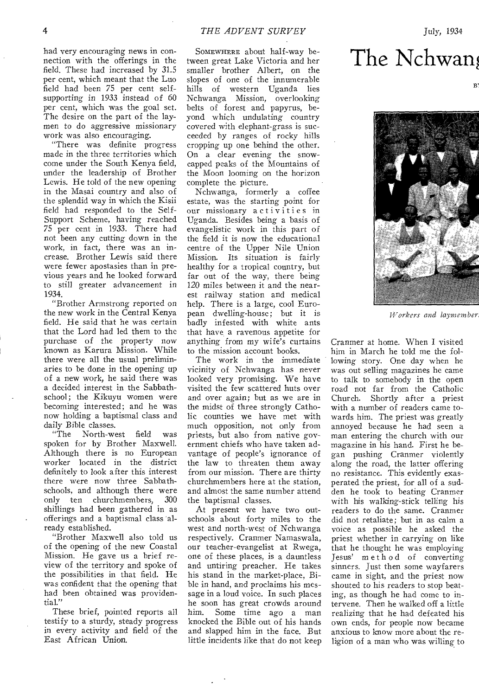had very encouraging news in connection with the offerings in the field. These had increased by 31.5 per cent, which meant that the Luo field had been 75 per cent selfsupporting in 1933 instead of 60 per cent, which was the goal set. The desire on the part of the laymen to do *aggressive* missionary work was also encouraging.

"There was definite progress made in the three territories which come under the South Kenya field, under the leadership of Brother Lewis. He told of the new opening in the Masai country and also of the splendid way in which the Kisii field had responded to the Self-Support Scheme, having reached 75 per cent in 1933. There had not been any cutting down in the work, in fact, there was an increase. Brother Lewis said there were fewer apostasies than in previous years and he looked forward to still greater advancement in 1934.

"Brother Armstrong reported on the new work in the Central Kenya field. He said that he was certain that the Lord had led them to the purchase of the property now known as Karura Mission. While there were all the usual preliminaries to be done in the opening up of a new work, he said there was a decided interest in the Sabbathschool; the Kikuyu women were becoming interested; and he was now holding a baptismal class and

daily Bible classes.<br>The North-wo North-west field was spoken for by Brother Maxwell. Although there is no European worker located in the district definitely to look after this interest there were now three Sabbathschools, and although there were<br>only ten churchmembers. 300 only ten churchmembers, shillings had been gathered in as offerings and a baptismal class already established.

"Brother Maxwell also told us of the opening of the new Coastal Mission. He gave us a brief review of the territory and spoke of the possibilities in that field. He was confident that the opening that had been obtained was providential."

These brief, pointed reports all testify to a sturdy, steady progress in every activity and field of the East African Union.

SOMEWHERE about half-way between great Lake Victoria and her smaller brother Albert, on the slopes of one of the innumerable hills of western Uganda lies Nchwanga Mission, overlooking belts of forest and papyrus, beyond which undulating country covered with elephant-grass is succeeded by ranges of rocky hills cropping up one behind the other. On a clear evening the snowcapped peaks of the Mountains of the Moon looming on the horizon complete the picture.

Nchwanga, formerly a coffee estate, was the starting point for our missionary activities in Uganda. Besides being a basis of evangelistic work in this part of the field it is now the educational centre of the Upper Nile Union Mission. Its situation is fairly healthy for a tropical country, but far out of the way, there being 120 miles between it and the nearest railway station and medical help. There is a large, cool European dwelling-house; but it is badly infested with white ants that have a ravenous appetite for anything from my wife's curtains to the mission account books.

The work in the immediate vicinity of Nchwanga has never looked very promising. We have visited the few scattered huts over and over again; but as we are in the midst of three strongly Catholic counties we have met with much opposition, not only from priests, but also from native government chiefs who have taken advantage of people's ignorance of the law to threaten them away from our mission. There are thirty churchmembers here at the station, and almost the same number attend the baptismal classes.

At present we have two outschools about forty miles to the west and north-west of Nchwanga respectively. Cranmer Namaswala, our teacher-evangelist at Rwega, one of these places, is a dauntless and untiring preacher. He takes his stand in the market-place, Bible in hand, and proclaims his message in a loud voice. In such places he soon has great crowds around him. Some time ago a man knocked the Bible out of his hands and slapped him in the face, But little incidents like that do not keep

# The Nchwan

B.



*Workers* and laymember

Cranmer at home. When I visited him in March he told me the following story. One day when he was out selling magazines he came to talk to somebody in the open road not far from the Catholic Church. Shortly after a priest with a number of readers came towards him. The priest was greatly annoyed because he had seen a man entering the church with our magazine in his hand. First he began pushing Cranmer violently along the road, the latter offering no resistance. This evidently exasperated the priest, for all of a sudden he took to beating Cranmer with his walking-stick telling his readers to do the same. Cranmer did not retaliate; but in as calm a voice as possible he asked the priest whether in carrying on like that he thought he was employing Jesus' method of converting sinners. Just then some wayfarers came in sight, and the priest now shouted to his readers to stop beating, as though he had come to intervene. Then he walked off a little realizing that he had defeated his own ends, for people now became anxious to know more about the religion of a man who was willing to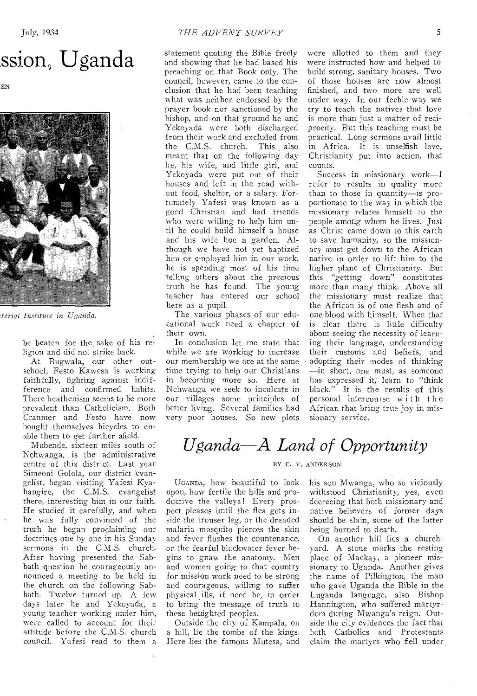# ssion, Uganda

EN



*7terial Institute in Uganda.* 

be beaten for the sake of his religion and did not strike back.

At Bugwala, our other outschool, Festo Kawesa is working faithfully, fighting against indifference and confirmed habits. There heathenism seems to be more prevalent than Catholicism. Both Cranmer and Festo have now bought themselves bicycles to enable them to get farther afield.

Mubende, sixteen miles south of Nchwanga, is the administrative centre of this district. Last year Simeoni Golola, our district evangelist, began visiting Yafesi Kyahangire, the C.M.S. evangelist there, interesting him in our faith. He studied it carefully, and when he was fully convinced of the truth he began proclaiming our doctrines one by one in his, Sunday sermons in the C.M.S. church. After having presented the Sabbath question he courageously announced a meeting to be held in the church on the following Sabbath. Twelve turned up. A few days later he and Yekoyada, a young teacher working under him, were called to account for their attitude before the C.M.S. church council. Yafesi read to them a

statement quoting the Bible freely and showing that he had based his preaching on that Book only. The council, however, came to the conclusion that he had been teaching what was neither endorsed by the prayer book nor sanctioned by the bishop, and on that ground he and Yekoyada were both discharged from their work and excluded from the C.M.S. church. This also meant that on the following day he, his wife, and little girl, and Yekoyada were put out of their houses and left in the road without food, shelter, or a salary. Fortunately Yafesi was known as a good Christian and had friends who were willing to help him until he could build himself a house and his wife hoe a garden. Although we have not yet baptized him or employed him in our work, he is spending most of his time telling others about the precious truth he has found. The young teacher has entered our school here as a pupil.

The various phases of our educational work need a chapter of their own.

In conclusion let me state that while we are working to increase our membership we are at the same time trying to help our Christians in becoming more so. Here at Nchwanga we seek to inculcate in our villages some principles of better living. Several families had very poor houses. So new plots

were allotted to them and they were instructed how and helped to build strong, sanitary houses. Two of those houses are now almost finished, and two more are well under way. In our feeble way we try to teach the natives that love is more than just a matter of reciprocity. But this teaching must be practical. Long sermons avail little in Africa. It is unselfish love, Christianity put into action, that counts.

Success in missionary work—I refer to results in quality more than to those in quantity—is proportionate to the way in which the missionary relates himself to the people among whom he lives. *Just*  as Christ came down to this earth to save humanity, so the missionary must get down to the African native in order to lift him to the higher plane of Christianity. But this "getting down" constitutes more than many think. Above all the missionary must realize that the African is of one flesh and of one blood with himself. When that is clear there is little difficulty about seeing the necessity of learning their language, understanding their customs and beliefs, and adopting their modes of thinking —in short, one must, as someone has expressed it; learn to "think black." It is the results of this personal intercourse with the African that bring true joy in missionary service.

# *Uganda A Land of Opportunity*

### BY C. V. ANDERSON

UGANDA, how beautiful to look upon, how fertile the hills and productive the valleys! Every prospect pleases until the flea gets inside the trouser leg, or the dreaded malaria mosquito pierces the skin and fever flushes the countenance, or the fearful blackwater fever begins to gnaw the anatomy. Men and women going to that country for mission work need to be strong and courageous, willing to suffer physical \_ills, if need be, in order to bring the message of truth to these benighted peoples.

Outside the city of Kampala, on a hill, lie the tombs of the kings. Here lies the famous Mutesa, and his son Mwanga, who so viciously withstood Christianity, yes, even decreeing that both missionary and native believers of former days should be slain, some of the latter being burned to death.

On another hill lies a churchyard. A stone marks the resting place of Mackay, a pioneer missionary to Uganda. Another gives the name of Pilkington, the man who gave Uganda the Bible in the Luganda language, also Bishop Hannington, who suffered martyrdom during Mwanga's reign. Outside the city evidences the fact that both Catholics and Protestants claim the martyrs who fell under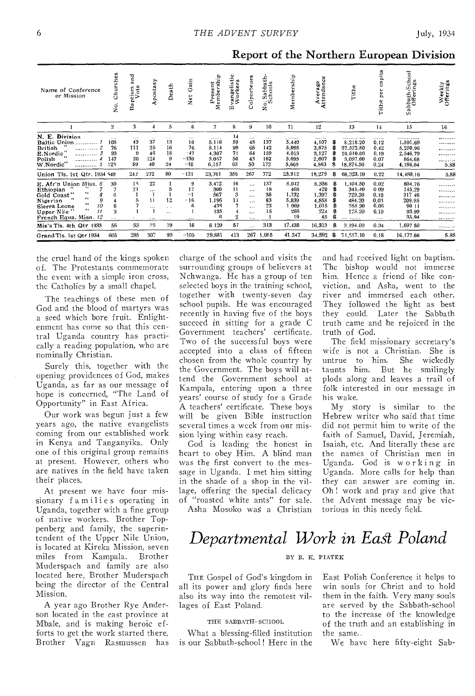| Name of Conference<br>or Mission                                                                                                                                                                                                        | Churches<br>ż.                                   | ក<br>ក<br>ote<br>tism<br>Vote<br>Ö.<br>å | postasy<br>-t                                                      | Death                                       | Ξ<br>Ö<br>ť<br>ż                                           | Present<br>lembershi<br>َ≏<br>Σ                           | vangelistic<br>Workers<br>Щ                      | Colporteurs                                                                           | Sabbath-<br>chools<br>$R_{\infty}$                 | Membership                                                        | Average<br>Attendance                                          |                                  | Tithe                                                                               | pita<br>$\sigma$<br>$\mathbf{r}$<br>÷.<br>g<br>Tithe      | Sabbath-School<br>Offerings                                                                  | Weekly<br>Offerings                      |
|-----------------------------------------------------------------------------------------------------------------------------------------------------------------------------------------------------------------------------------------|--------------------------------------------------|------------------------------------------|--------------------------------------------------------------------|---------------------------------------------|------------------------------------------------------------|-----------------------------------------------------------|--------------------------------------------------|---------------------------------------------------------------------------------------|----------------------------------------------------|-------------------------------------------------------------------|----------------------------------------------------------------|----------------------------------|-------------------------------------------------------------------------------------|-----------------------------------------------------------|----------------------------------------------------------------------------------------------|------------------------------------------|
|                                                                                                                                                                                                                                         | $\bf{2}$                                         | 3                                        | 4                                                                  | 5                                           | 6                                                          | $\overline{7}$                                            | 8                                                | 9                                                                                     | 10                                                 | 11                                                                | 12                                                             |                                  | 13                                                                                  | 14                                                        | 15                                                                                           | 16                                       |
| N. E. Division<br><b>Baltic Union</b><br><b>British</b><br><br>E.Nordic<br><br>Polish<br><br>W.Nordic"<br><br>Union Tls. 1st Qtr. 1934                                                                                                  | $\cdots$<br>105<br>76<br>93<br>147<br>128<br>549 | $\cdots$<br>43<br>111<br>20<br>59<br>242 | $\cdot$<br>37<br>25<br>46<br>124<br>40<br>272                      | $\cdots$<br>13<br>16<br>18<br>9<br>24<br>80 | $\cdots$<br>10<br>76<br>$-47$<br>$-130$<br>$-10$<br>$-121$ | <br>5.116<br>5.114<br>4.307<br>3.067<br>6,157<br>23,761   | 14<br>59<br>99<br>71<br>50<br>63<br>356          | $\cdots$<br>45<br>65<br>64<br>43<br>50<br>267                                         | $\cdots$<br>137<br>142<br>159<br>162<br>172<br>772 | . <b>.</b><br>5,440<br>5,095<br>4.013<br>3,695<br>5,669<br>23,912 | <br>4,107<br>3,875<br>3,127<br>2.607<br>4,563<br>18,279        | s.<br>А<br>s                     | <i></i><br>8,218.20<br>27,522.80<br>10.610.00<br>3,097.60<br>18,874.50<br>68,323.10 | .<br>0.12<br>0.42<br>0.19<br>0.07<br>0.24<br>0.22         | . <i>. .</i> <b>.</b><br>1,591.69<br>5,290.96<br>2,546.79<br>864.68<br>4.186.04<br>14,480.16 | <br><br><br><br>,,,,,,,,<br>5.88<br>5.88 |
| E. Afr'n Union Miss. 6<br>Ethiopian<br>$\cdots$<br>Gold Coast"<br>δ<br>$\bullet$<br>9<br>Nigerian<br>$\ddot{\phantom{a}}$<br>10<br>Sierra Leone<br>$\bullet$<br>11<br>Upper Nile<br>12<br>French Equa. Misn.<br>Mis's Tls. 4th Qtr 1933 | 30<br>6<br>6<br>3<br>56                          | 18<br>21<br>53                           | 22<br>$\cdots$<br>$\mathbf{1}$<br>11<br>$\cdots$<br>$\cdots$<br>25 | 12<br>$\ddotsc$<br>$\cdots$<br>19           | 9<br>17<br>-1<br>$-16$<br>6<br>$\cdots$<br>16              | 3,472<br>306<br>567<br>1,196<br>438<br>135<br>6<br>6 1 20 | 16<br>11<br>3<br>14<br>4<br>$\overline{2}$<br>57 | $\cdots$<br>$\cdots$<br>$\cdots$<br>$\cdots$<br>$\cdots$<br>$\cdots$<br>.<br>$\cdots$ | 137<br>18<br>36<br>83<br>23<br>15<br>313           | 8,042<br>468<br>1.732<br>5,839<br>t 069<br>266<br>19<br>17.435    | 8.356<br>420<br>1.397<br>4,858<br>1,015<br>224<br>43<br>16,313 | \$<br>s<br>S<br>s<br>8<br>Ŝ<br>翕 | 1,104.50<br>345.40<br>729.30<br>484.20<br>355 30<br>175.30<br><br>3,194.00          | 0.02<br>0.09<br>0.10<br>0.03<br>0.06<br>0.10<br>.<br>0,04 | 804.76<br>145.29<br>317 46<br>209.95<br>90 11<br>93.99<br>35,94<br>1,697 50                  | .<br><br><br>. <b>.</b><br><br><br><br>  |
| Grand Tis. 1st Qtr 1934                                                                                                                                                                                                                 | 605                                              | 295                                      | 307                                                                | 99                                          | $-105$                                                     | 29,881                                                    | 413                                              | 267                                                                                   | 1,085                                              | 41.347                                                            | 34,592                                                         | S                                | 71,517.10                                                                           | 0.18                                                      | 16,177.66                                                                                    | 5.88                                     |

Report of the Northern European Division

the cruel hand of the kings spoken of. The Protestants commemorate the event with a simple iron cross, the Catholics by a small chapel.

The teachings of these men of God and the blood of martyrs was a seed which bore fruit. Enlightenment has come so that this central Uganda country has practically a reading population, who are nominally Christian.

Surely this, together with the opening providences of God, makes Uganda, as far as our message of hope is concerned, "The Land of Opportunity" in East Africa.

Our work was begun just a few years ago, the native evangelists coming from our established work in Kenya and Tanganyika. Only one of this original group remains at present. However, others who are natives in the field have taken their places.

At present we have four missionary f amilies operating in Uganda, together with a fine group of native workers. Brother Toppenberg and family, the superintendent of the Upper Nile Union, is located at Kireka Mission, seven miles from Kampala. Brother Muderspach and family are also located here, Brother Muderspach being the director of the Central Mission.

A year ago Brother Rye Anderson located in the east province at Mbale, and is making heroic efforts to get the work started there. Brother Vagn Rasmussen has charge of the school and visits the surrounding groups of believers at Nchwanga. He has a group of ten selected boys in the training school, together with twenty-seven day school pupils. He Was encouraged recently in having five of the boys succeed in sitting for a grade C Government teachers' certificate. Two of the successful boys were accepted into a class of fifteen chosen from the whole country by the Government. The boys will attend the Government school at Kampala, entering upon a three years' course of study for a Grade A teachers' certificate. These boys will be given Bible instruction several times a week from our mission lying within easy reach.

God is leading the honest in heart to obey Him. A blind man was the first convert to the message in Uganda. I met him sitting in the shade of a shop in the village, offering the special delicacy of "roasted white ants" for sale.

Asha Mosoko was a Christian

and had received light on baptism. The bishop would not immerse him. Hence a friend of like conviction, and Asha, went to the river and immersed each other. They followed the light as best they could. Later the Sabbath truth came and he rejoiced in the truth of God.

The field missionary secretary's wife is not a Christian. She is untrue to him. She wickedly taunts him. But he smilingly plods along and leaves a trail of folk interested in our message in his wake.

My story is similar to the Hebrew writer who said that time did not permit him to write of the faith of Samuel, David, Jeremiah, Isaiah, etc. And literally these are the names of Christian men in Uganda. God is working in Uganda. More calls for help than they can answer are coming in. Oh ! work and pray and give that the Advent message may be victorious in this needy field.

## *Departmental Work in East Poland*

### BY B. K. PIATEK

THE Gospel of God's kingdom in all its power and glory finds here also its way into the remotest villages of East Poland.

### THE SABBATH-SCHOOL

What a blessing-filled institution is our Sabbath-school ! Here in the East Polish Conference it helps to win souls for Christ and to hold them in the faith. Very many souls are served by the Sabbath-school to the increase of the knowledge of the truth and an establishing in the same..

We have here fifty-eight Sab-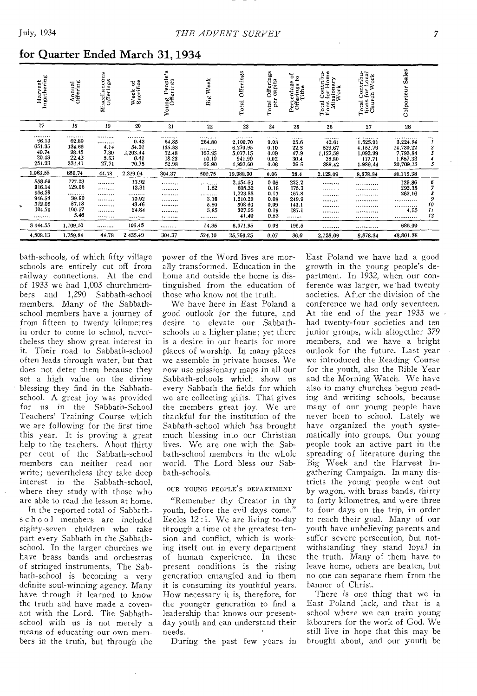| Harvest<br>Ingathering                                                     | Annual<br>Offering                                                   | Miscellaneous<br>Offerings                   | Week of<br>Sacrifice                                         | Young People's<br>Offerings                                          | Week<br>${\bf B}$                                                | Offerings<br>Total                                                                  | Offerings<br>capita<br>per<br>Total                          | $\frac{5}{6}$<br>Percentage<br>Offerings to<br>Tithe            | Total Contribu-<br>tions for Home<br>Missionary<br>Work | Contribu-<br>for Local<br>cch Work<br>Total Cor<br>tions for<br>Church | <b>Sales</b><br>Colporteur                                          |                                                                   |
|----------------------------------------------------------------------------|----------------------------------------------------------------------|----------------------------------------------|--------------------------------------------------------------|----------------------------------------------------------------------|------------------------------------------------------------------|-------------------------------------------------------------------------------------|--------------------------------------------------------------|-----------------------------------------------------------------|---------------------------------------------------------|------------------------------------------------------------------------|---------------------------------------------------------------------|-------------------------------------------------------------------|
| 17                                                                         | 18                                                                   | 19                                           | 20                                                           | 21                                                                   | 22                                                               | 23                                                                                  | 24                                                           | 25                                                              | 26                                                      | 27                                                                     | 28                                                                  |                                                                   |
| , <i>.</i> .<br>96.13<br>651.35<br>40.74<br>20.43<br>254.93                | <br>62.80<br>134.66<br>98.45<br>22.42<br>332.41                      | <br><br>4.14<br>7.30<br>5.63<br>27.71        | . <i>.</i><br>0.43<br>54.01<br>2,203.44<br>0.41<br>70.75     | <br>84,85<br>135.83<br>12.48<br>18.23<br>52.98                       | <br>264.80<br><br>167.95<br>10.10<br>66.90                       | .<br>2,100.70<br>6,270.95<br>5,077.15<br>941.90<br>4.997.60                         | <br>0.03<br>0.10<br>0.09<br>0.02<br>0.06                     | <br>25.6<br>22.3<br>47.9<br>30.4<br>26.5                        | <br>42.61<br>529.67<br>1,127.59<br>38,80<br>389.42      | <br>1,525.91<br>4.152.79<br>1,092.99<br>117.71<br>1.989.44             | <br>3,224.84<br>14,730.22<br>7.793.84<br>1,657,33<br>20,709.15      | <br>$\boldsymbol{\eta}$<br>$\frac{2}{3}$<br>$\boldsymbol{d}$<br>5 |
| 1.063.58                                                                   | 650.74                                                               | 44.78                                        | 2,329.04                                                     | 304.37                                                               | 509.75                                                           | 19,388.30                                                                           | 0.06                                                         | 28.4                                                            | 2.128.09                                                | 8,878.84                                                               | 48,115.38                                                           |                                                                   |
| 858.69<br>316.14<br>906.39<br>946.58<br>312.05<br>104.70<br><br>3 4 4 4.55 | 777.23<br>129.06<br><br>39.60<br>57.18<br>100.57<br>5.46<br>1,109.10 | <br><br><b>*********</b><br><br><br><br><br> | 13.92<br>13.31<br>.<br>10.92<br>43.46<br>24.84<br><br>106.45 | <br><b>.</b><br><br><br>*********<br><b>*********</b><br><b></b><br> | <br>1.52<br>.<br>3.18<br>5.80<br>3.85<br>. <b>. .</b> .<br>14.35 | 2,454.60<br>605.32<br>1,223.85<br>1,210.23<br>508 60<br>327.95<br>41.40<br>6.371.95 | 0.05<br>0.16<br>0.17<br>0.08<br>0.09<br>0.19<br>0.53<br>0.03 | 222.2<br>175.3<br>167.8<br>249.9<br>143.1<br>187.1<br><br>199.5 | <br><br><br><br><br><br><br>                            | . <b>.</b><br>. <b>. .</b> .<br><br>, , <i>.</i> .<br><br><br><br>     | 126.86<br>292.35<br>262.16<br>.<br><br>4.63<br>. <b>.</b><br>686.00 | 6<br>7<br>8<br>9<br>10<br>$\mathcal{I}$<br>12                     |
| 4,508.13                                                                   | 1,759.84                                                             | 44.78                                        | 2 435.49                                                     | 304.37                                                               | 524.10                                                           | 25,760.25                                                                           | 0.07                                                         | 36.0                                                            | 2,128.09                                                | 8.878.84                                                               | 48.801.38                                                           |                                                                   |

### for Quarter Ended March 31,1934

bath-schools, of which fifty village schools are entirely cut off from railway connections. At the end of 1933 we had 1,003 churchmembers and 1,290 Sabbath-school members. Many of the Sabbathschool members have a journey of from fifteen to twenty kilometres in order to come to school, nevertheless they show great interest in it. Their road to Sabbath-school often leads through water, but that does not deter them because they set a high value on the divine blessing they find in the Sabbathschool. A great joy was provided for us in the Sabbath-School Teachers' Training Course which we are following for the first time this year. It is proving a great help to the teachers. About thirty per cent of the Sabbath-school members can neither read nor write; nevertheless they take deep interest in the Sabbath-school, where they study with those who are able to read the lesson at home.

In the reported total of Sabbaths c h o o l members are included eighty-seven children who take part every Sabbath in the Sabbathschool. In the larger churches we have brass bands and orchestras of stringed instruments. The Sabbath-school is becoming a very definite soul-winning agency. Many have through it learned to know the truth and have made a covenant with the Lord. The Sabbathschool with us is not merely a means of educating our own members in the truth, but through the power of the Word lives are morally transformed. Education in the home and outside the home is distinguished from the education of those who know not the truth.

We have here in East Poland a good outlook for the future, and desire to elevate our Sabbathschools to a higher plane ; yet there is a desire in our hearts for more places of worship. In many places we assemble in private houses. We now use *missionary* maps in all our Sabbath-schools which show us every Sabbath the fields for which we are collecting gifts. That gives the members great joy. We are thankful for the institution of the Sabbath-school which has brought much blessing into our Christian lives. We are one with the Sabbath-school members in the whole world. The Lord bless our Sabbath-schools.

### OUR YOUNG PEOPLE'S DEPARTMENT

"Remember thy Creator in thy youth, before the evil days come." Eccles 12 :1. We are living to-day through a time of the greatest tension and conflict, which is working itself out in every department of human experience. In these present conditions is the rising generation entangled and in them it is consuming its youthful years. How necessary it is, therefore, for the younger generation to find a leadership that knows our presentday youth and can understand their needs.

During the past few years in

East Poland we have had a good growth in the young people's department. In 1932, when our conference was larger, we'had twenty societies. After the division of the conference we had only seventeen. At the end of the year 1933 we • had twenty-four societies and ten junior groups, with altogether 379 members, and we have a bright outlook for the future. Last year we introduced the Reading Course for the youth, also the Bible Year and the Morning Watch. We have also in many churches begun reading and writing schools, because many of our young people have never been to school. Lately we have organized the youth systematically into groups. Our young people took an active part in the spreading of literature during the Big Week and the Harvest Ingathering Campaign. In many districts the young people went out by wagon, with brass bands, thirty to forty kilometres, and were three to four days on the trip, in order to reach their goal. Many of our youth have unbelieving parents and suffer severe persecution, but notwithstanding they stand loyal in the truth. Many of them have to leave home, others are beaten, but no one can separate them from the banner of Christ.

There is one thing that we in East Poland lack, and that is a school where we can train young labourers for the work of God. We still live in hope that this may be brought about, and our youth be